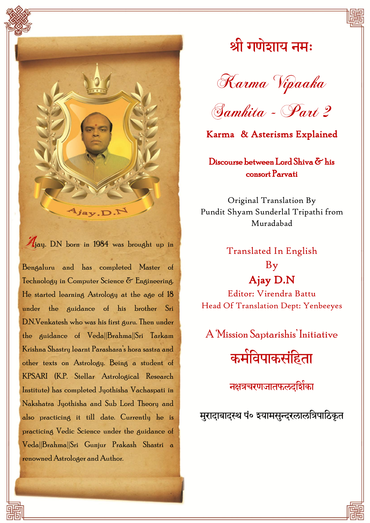

Ajay. D.N born in 1984 was brought up in

Bengaluru and has completed Master of Technology in Computer Science  $\delta$  Engineering. He started learning Astrology at the age of 18 under the guidance of his brother Sri D.N.Venkatesh who was his first guru. Then under the guidance of Veda||Brahma||Sri Tarkam Krishna Shastry learnt Parashara"s hora sastra and other texts on Astrology. Being a student of KPSARI (K.P. Stellar Astrological Research Institute) has completed Jyothisha Vachaspati in Nakshatra Jyothisha and Sub Lord Theory and also practicing it till date. Currently he is practicing Vedic Science under the guidance of Veda||Brahma||Sri Gunjur Prakash Shastri a renowned Astrologer and Author.

# श्री गणेशाय नमः

Karma Vipaaka



Karma & Asterisms Explained

#### Discourse between Lord Shiva & his consort Parvati

Original Translation By Pundit Shyam Sunderlal Tripathi from Muradabad

> Translated In English By Ajay D.N

Editor: Virendra Battu Head Of Translation Dept: Yenbeeyes

A "Mission Saptarishis" Initiative

कमेविपाकसंहिता

नक्षत्रचरणजातफलदर्शिका

मुरादाबादस्थ पं० इयामसुन्दरलालत्रिपाठिकृत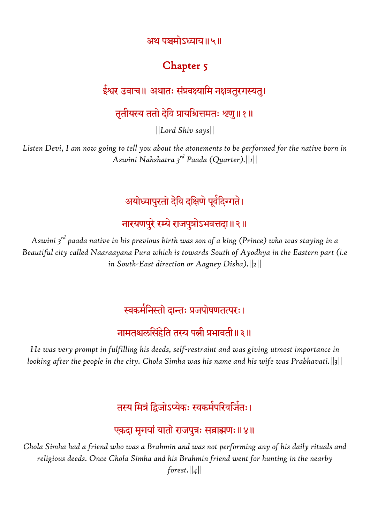अथ पञ्चमोऽध्याय॥५॥

### Chapter 5

#### ईश्वर उवाच॥ अथातः संप्रवक्ष्यामि नक्षत्रतुरगस्यतु।

#### तृतीयस्य ततो देवि प्रायश्चित्तमतः श्रणु॥१॥

*||Lord Shiv says||*

*Listen Devi, I am now going to tell you about the atonements to be performed for the native born in Aswini Nakshatra 3rd Paada (Quarter).||1||*

## अयोध्यापुरतो देवि दक्षिणे पूर्वदिग्गते।

## नारयणपुरे रम्ये राजपुत्रोऽभवत्तदा॥२॥

*Aswini 3rd paada native in his previous birth was son of a king (Prince) who was staying in a Beautiful city called Naaraayana Pura which is towards South of Ayodhya in the Eastern part (i.e in South-East direction or Aagney Disha).||2||*

#### स्वकमेनिस्तो दान्तः प्रजपोषणतत्परः।

### नामतश्चलसिंहेति तस्य पत्नी प्रभावती॥३॥

*He was very prompt in fulfilling his deeds, self-restraint and was giving utmost importance in looking after the people in the city. Chola Simha was his name and his wife was Prabhavati.||3||*

## तस्य मित्रं द्विजोऽप्येकः स्वकर्मपरिवर्जितः।

#### एकदा मृगयां यातो राजपुत्रः सब्राह्मणः ॥४॥

*Chola Simha had a friend who was a Brahmin and was not performing any of his daily rituals and religious deeds. Once Chola Simha and his Brahmin friend went for hunting in the nearby forest.||4||*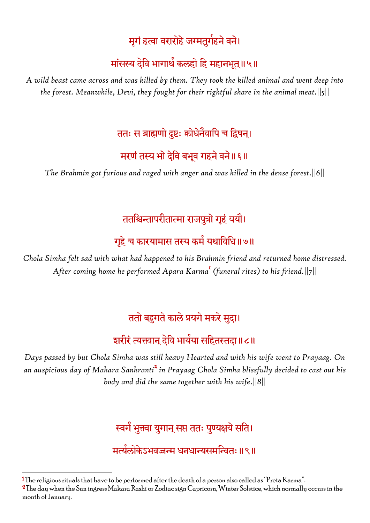## मृगं हत्वा वरारोहे जग्मतुगेहने वने।

## मांसस्य देवि भागाथँ कलहो हि महानभूत्॥५॥

*A wild beast came across and was killed by them. They took the killed animal and went deep into the forest. Meanwhile, Devi, they fought for their rightful share in the animal meat.||5||*

## ततः स ब्राह्मणो दुष्टः कोधेनेवापि च द्विषन्।

### मरणं तस्य भो देवि बभूव गहने वने॥ ६॥

*The Brahmin got furious and raged with anger and was killed in the dense forest.||6||*

## ततश्चिन्तापरीतात्मा राजपुत्रो गृहं ययौ।

## गृहे च कारयामास तस्य कर्म यथाविधि॥७॥

*Chola Simha felt sad with what had happened to his Brahmin friend and returned home distressed. After coming home he performed Apara Karma*<sup>1</sup> *(funeral rites) to his friend.||7||*

## ततो बहुगते काले प्रयगे मकरे मुदा।

## श्वारीरं त्यक्त्वान् देवि भायेया सहितस्तदा॥८॥

*Days passed by but Chola Simha was still heavy Hearted and with his wife went to Prayaag. On an auspicious day of Makara Sankranti*<sup>2</sup> *in Prayaag Chola Simha blissfully decided to cast out his body and did the same together with his wife.||8||*

## स्वर्गं भुक्त्वा युगान् सप्त ततः पुण्यक्षये सति।

### मत्यंलोकेऽभवज्जन्म धनधान्यसमन्वितः ॥९॥

 $2$ The day when the Sun ingress Makara Rashi or Zodiac sign Capricorn, Winter Solstice, which normally occurs in the month of January.

**<sup>.</sup>**  $^{\rm 1}$ The religious rituals that have to be performed after the death of a person also called as "Preta Karma".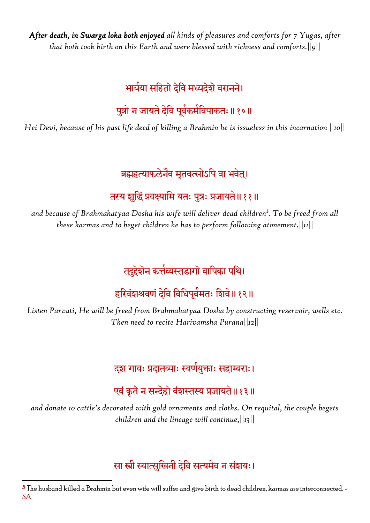*After death, in Swarga loka both enjoyed all kinds of pleasures and comforts for 7 Yugas, after that both took birth on this Earth and were blessed with richness and comforts.||9||*

## भार्यया सहितो देवि मध्यदेशे वरानने।

## पुत्रो न जायते देवि पूर्वकर्मविपाकतः ॥ १०॥

*Hei Devi, because of his past life deed of killing a Brahmin he is issueless in this incarnation ||10||*

## ब्रह्महत्याफलेनैव मृतवत्सोऽपि वा भवेत्।

## तस्य शुद्धिं प्रवक्ष्यामि यतः पुत्रः प्रजायते॥ ११॥

*and because of Brahmahatyaa Dosha his wife will deliver dead children*<sup>3</sup> *. To be freed from all these karmas and to beget children he has to perform following atonement.||11||*

## तदुद्देशेन कत्तेव्यस्तडागो वापिका पथि।

## हरिवेंशश्रवणं देवि विधिपूर्वमतः शिवे॥ १२॥

*Listen Parvati, He will be freed from Brahmahatyaa Dosha by constructing reservoir, wells etc. Then need to recite Harivamsha Purana||12||*

## दश गावः प्रदातव्याः स्वणेयुक्ताः सहाम्बराः।

## एवं कृते न सन्देहो वंशस्तस्य प्रजायते॥१३॥

*and donate 10 cattle's decorated with gold ornaments and cloths. On requital, the couple begets children and the lineage will continue,||13||*

## सा स्त्री स्यात्सुखिनी देवि सत्यमेव न संशयः।

 $\overline{a}$  $3$  The husband killed a Brahmin but even wife will suffer and give birth to dead children, karmas are interconnected.  $-$ SA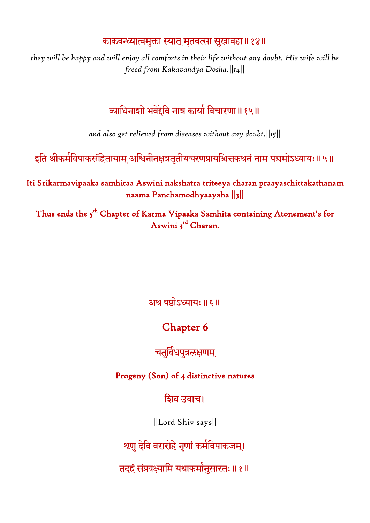#### काकवन्ध्यात्वमुक्ता स्यात् मृतवत्सा सुखावहा॥१४॥

*they will be happy and will enjoy all comforts in their life without any doubt. His wife will be freed from Kakavandya Dosha.||14||*

## व्याधिनाशो भवेद्देवि नात्र कार्या विचारणा॥१५॥

*and also get relieved from diseases without any doubt.||15||*

इति श्रीकमेविपाकसंहितायाम् अश्विनीनक्षत्रतृतीयचरणप्रायश्चित्तकथनं नाम पञ्चमोऽध्यायः॥५॥

Iti Srikarmavipaaka samhitaa Aswini nakshatra triteeya charan praayaschittakathanam naama Panchamodhyaayaha ||3||

Thus ends the 5<sup>th</sup> Chapter of Karma Vipaaka Samhita containing Atonement's for Aswini 3<sup>rd</sup> Charan.

अथ षष्ठोऽध्यायः ॥ ६ ॥

## Chapter 6

#### चतुर्विधपुत्रलक्षणम्

Progeny (Son) of 4 distinctive natures

घिव उवाच।

||Lord Shiv says||

श्रणु देवि वरारोहे नृणां कमेविपाकजम्।

तदहं संप्रवक्ष्यामि यथाकमोनुसारतः॥ १॥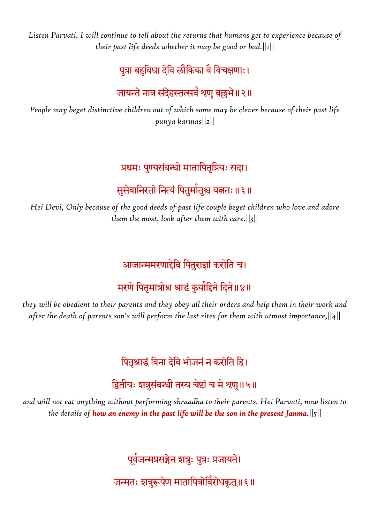*Listen Parvati, I will continue to tell about the returns that humans get to experience because of their past life deeds whether it may be good or bad.||1||*

## पुत्रा बहुविधा देवि लौकिका वै विचक्षणाः।

### जायन्ते नात्र संदेहस्तत्सवे श्रणु वल्लभे॥२॥

*People may beget distinctive children out of which some may be clever because of their past life punya karmas||2||*

#### प्रथमः पुण्यसंबन्धो मातापितृप्रियः सदा।

## सुसेवानिरतो नित्यं पितुमोतुश्च यत्नतः॥३॥

*Hei Devi, Only because of the good deeds of past life couple beget children who love and adore them the most, look after them with care.||3||*

### आजान्ममरणाद्देवि पितुराज्ञां करोति च।

## मरणे पितृमात्रोश्च श्राद्धं कुर्यादिने दिने॥४॥

*they will be obedient to their parents and they obey all their orders and help them in their work and after the death of parents son's will perform the last rites for them with utmost importance,||4||*

## पितृश्राद्धं विना देवि भोजनं न करोति हि।

### द्वितीयः शत्रुसंबन्धी तस्य चेष्टां च मे श्रणु॥५॥

*and will not eat anything without performing shraadha to their parents. Hei Parvati, now listen to the details of how an enemy in the past life will be the son in the present Janma.||5||*

पूर्वजन्मप्रसङ्गेन शत्रुः पुत्रः प्रजायते।

जन्मतः शत्रुरूपेण मातापित्रोविरोधकृत्॥ ६॥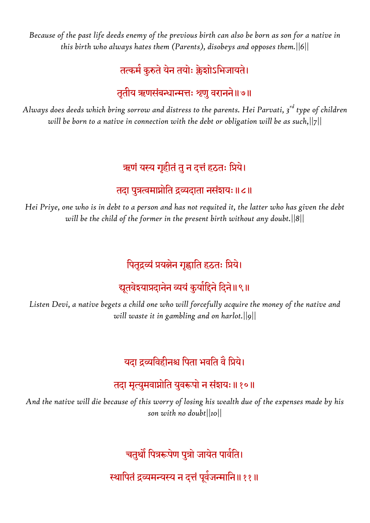*Because of the past life deeds enemy of the previous birth can also be born as son for a native in this birth who always hates them (Parents), disobeys and opposes them.||6||*

## तत्कमे कुरुते येन तयोः क्लेशोऽभिजायते।

#### तृतीय ऋणसंबन्धान्मत्तः शृणु वरानने॥७॥

*Always does deeds which bring sorrow and distress to the parents. Hei Parvati, 3rd type of children will be born to a native in connection with the debt or obligation will be as such,||7||*

### ऋणं यस्य गृहीतं तु न दत्तं हठतः प्रिये।

#### तदा पुत्रत्वमाप्नोति द्रव्यदाता नसंशयः ॥८॥

*Hei Priye, one who is in debt to a person and has not requited it, the latter who has given the debt will be the child of the former in the present birth without any doubt.||8||*

## पितृद्रव्यं प्रयत्नेन गृह्णाति हठतः प्रिये।

## द्यूतवेश्याप्रदानेन व्ययं कुर्यादिने दिने॥९॥

*Listen Devi, a native begets a child one who will forcefully acquire the money of the native and will waste it in gambling and on harlot.||9||*

## यदा द्रव्यविहीनश्च पिता भवति वै प्रिये।

### तदा मृत्युमवाप्नोति युवरूपो न संशयः ॥१०॥

*And the native will die because of this worry of losing his wealth due of the expenses made by his son with no doubt||10||*

चतुथौ पित्ररूपेण पुत्रो जायेत पार्वति।

स्थापितं द्रव्यमन्यस्य न दत्तं पूर्वजन्मानि॥११॥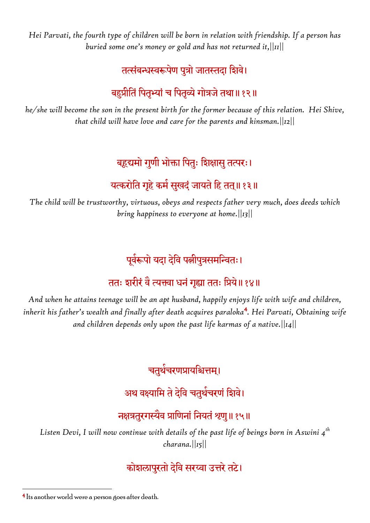*Hei Parvati, the fourth type of children will be born in relation with friendship. If a person has buried some one's money or gold and has not returned it,||11||*

## तत्संबन्धस्वरूपेण पुत्रो जातस्तदा शिवे।

## बहुप्रीतिं पितुभ्यां च पितव्ये गोत्रजे तथा॥१२॥

*he/she will become the son in the present birth for the former because of this relation. Hei Shive, that child will have love and care for the parents and kinsman.||12||*

## बहूद्यमो गुणी भोक्ता पितुः शिक्षासु तत्परः।

## यत्करोति गृहे कमे सुखदं जायते हि तत्॥१३॥

*The child will be trustworthy, virtuous, obeys and respects father very much, does deeds which bring happiness to everyone at home.||13||*

## पूर्वरूपो यदा देवि पत्नीपुत्रसमन्वितः।

## ततः शरीरं वै त्यक्त्वा धनं गृह्या ततः प्रिये॥१४॥

*And when he attains teenage will be an apt husband, happily enjoys life with wife and children, inherit his father's wealth and finally after death acquires paraloka*<sup>4</sup> *. Hei Parvati, Obtaining wife and children depends only upon the past life karmas of a native.||14||*

चतुर्थचरणप्रायश्चित्तम्।

## अथ वक्ष्यामि ते देवि चतुर्थचरणं शिवे।

## नक्षत्रतुरगस्यैव प्राणिनां नियतं श्रणु॥१५॥

*Listen Devi, I will now continue with details of the past life of beings born in Aswini 4th charana.||15||*

## कोशलापरतो देवि सरय्वा उत्तरे तटे।

**.** 

<sup>4</sup> Its another world were a person goes after death.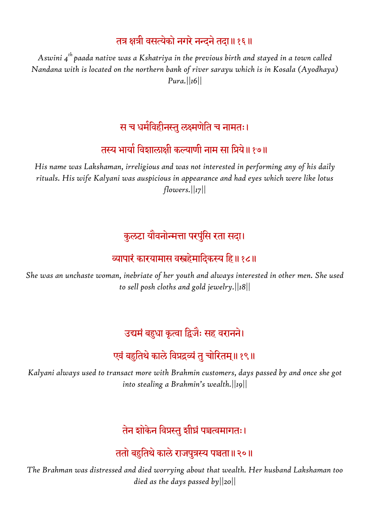### तत्र क्षत्री वसत्येको नगरे नन्दने तदा॥१६॥

*Aswini 4th paada native was a Kshatriya in the previous birth and stayed in a town called Nandana with is located on the northern bank of river sarayu which is in Kosala (Ayodhaya) Pura.||16||*

#### स च धर्मविहीनस्तु लक्ष्मणेति च नामतः।

### तस्य भायों विशालाक्षी कल्याणी नाम सा प्रियं॥ १७॥

*His name was Lakshaman, irreligious and was not interested in performing any of his daily rituals. His wife Kalyani was auspicious in appearance and had eyes which were like lotus flowers.||17||*

### कुलटा यौवनोन्मत्ता परपुंसि रता सदा।

## व्यापारं कारयामास वस्त्रहेमादिकस्य हि॥१८॥

*She was an unchaste woman, inebriate of her youth and always interested in other men. She used to sell posh cloths and gold jewelry.||18||*

### उद्यमं बहुधा कृत्वा द्विजैः सह वरानने।

### एवं बहुतिथे काले विप्रद्रव्यं तु चोरितम्॥१९॥

*Kalyani always used to transact more with Brahmin customers, days passed by and once she got into stealing a Brahmin's wealth.||19||*

तेन शोकेन विप्रस्तु शीघ्रं पञ्चत्वमागतः।

ततो बहुतिथे काले राजपुत्रस्य पञ्चता॥२०॥

*The Brahman was distressed and died worrying about that wealth. Her husband Lakshaman too died as the days passed by||20||*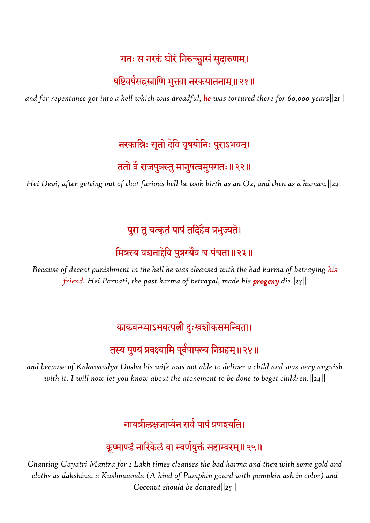#### गतः स नरकं घोरं निरुच्छ्वासं सुदारुणम्।

#### षष्टिवर्षसहस्त्राणि भुक्त्वा नरकयातनाम्॥२१॥

*and for repentance got into a hell which was dreadful, he was tortured there for 60,000 years||21||*

### नरकान्निः सतो देवि वृषयोनिः पुराऽभवत्।

#### ततो वै राजपुत्रस्तु मानुषत्वमुपगतः ॥ २२ ॥

*Hei Devi, after getting out of that furious hell he took birth as an Ox, and then as a human.||22||*

## पुरा तु यत्कृतं पापं तदिहैव प्रभुज्यते।

### मित्रस्य वञ्चनाद्देवि पुत्रस्यैव च पंचता॥२३॥

*Because of decent punishment in the hell he was cleansed with the bad karma of betraying his friend. Hei Parvati, the past karma of betrayal, made his progeny die||23||*

## काकवन्ध्याऽभवत्पत्नी दुःखशोकसमन्विता।

## तस्य पुण्यं प्रवक्ष्यामि पूर्वपापस्य निग्रहम्॥२४॥

*and because of Kakavandya Dosha his wife was not able to deliver a child and was very anguish with it. I will now let you know about the atonement to be done to beget children.||24||*

## गायत्रीलक्षजाप्येन सर्वे पापं प्रणश्यति।

## कूष्माण्डं नारिकेलं वा स्वर्णयुक्तं सहाम्बरम्॥२५॥

*Chanting Gayatri Mantra for 1 Lakh times cleanses the bad karma and then with some gold and cloths as dakshina, a Kushmaanda (A kind of Pumpkin gourd with pumpkin ash in color) and Coconut should be donated||25||*